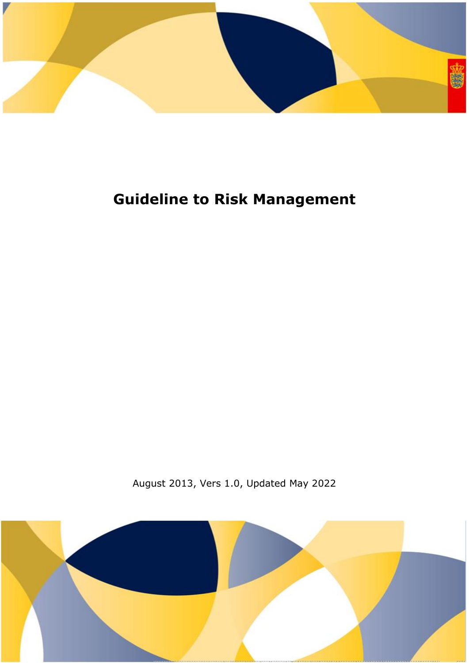

# **Guideline to Risk Management**

August 2013, Vers 1.0, Updated May 2022

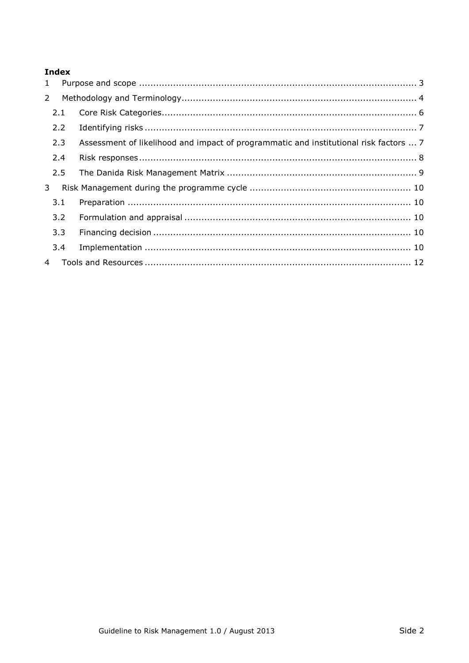## **Index**

| 1           |               |                                                                                       |  |  |
|-------------|---------------|---------------------------------------------------------------------------------------|--|--|
| $2^{\circ}$ |               |                                                                                       |  |  |
|             | 2.1           |                                                                                       |  |  |
|             | $2.2^{\circ}$ |                                                                                       |  |  |
|             | 2.3           | Assessment of likelihood and impact of programmatic and institutional risk factors  7 |  |  |
|             | 2.4           |                                                                                       |  |  |
|             | 2.5           |                                                                                       |  |  |
| 3           |               |                                                                                       |  |  |
|             | 3.1           |                                                                                       |  |  |
|             | 3.2           |                                                                                       |  |  |
|             | 3.3           |                                                                                       |  |  |
|             | 3.4           |                                                                                       |  |  |
|             |               |                                                                                       |  |  |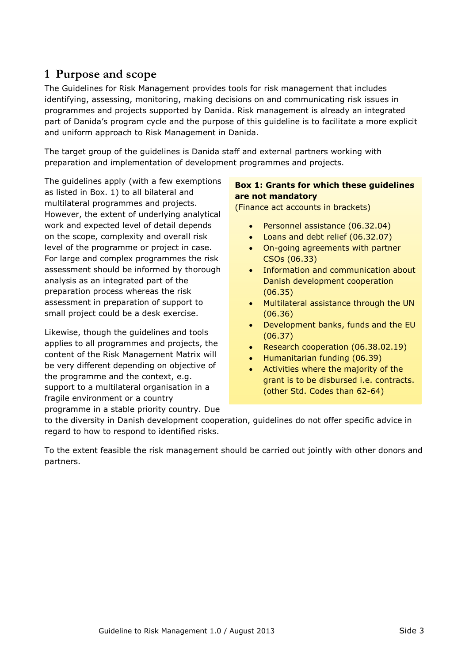# <span id="page-2-0"></span>**1 Purpose and scope**

The Guidelines for Risk Management provides tools for risk management that includes identifying, assessing, monitoring, making decisions on and communicating risk issues in programmes and projects supported by Danida. Risk management is already an integrated part of Danida's program cycle and the purpose of this guideline is to facilitate a more explicit and uniform approach to Risk Management in Danida.

The target group of the guidelines is Danida staff and external partners working with preparation and implementation of development programmes and projects.

The guidelines apply (with a few exemptions as listed in Box. 1) to all bilateral and multilateral programmes and projects. However, the extent of underlying analytical work and expected level of detail depends on the scope, complexity and overall risk level of the programme or project in case. For large and complex programmes the risk assessment should be informed by thorough analysis as an integrated part of the preparation process whereas the risk assessment in preparation of support to small project could be a desk exercise.

Likewise, though the guidelines and tools applies to all programmes and projects, the content of the Risk Management Matrix will be very different depending on objective of the programme and the context, e.g. support to a multilateral organisation in a fragile environment or a country programme in a stable priority country. Due

### **Box 1: Grants for which these guidelines are not mandatory**

(Finance act accounts in brackets)

- Personnel assistance (06.32.04)
- Loans and debt relief (06.32.07)
- On-going agreements with partner CSOs (06.33)
- Information and communication about Danish development cooperation (06.35)
- Multilateral assistance through the UN (06.36)
- Development banks, funds and the EU (06.37)
- Research cooperation (06.38.02.19)
- Humanitarian funding (06.39)
- Activities where the majority of the grant is to be disbursed i.e. contracts. (other Std. Codes than 62-64)

to the diversity in Danish development cooperation, guidelines do not offer specific advice in regard to how to respond to identified risks.

To the extent feasible the risk management should be carried out jointly with other donors and partners.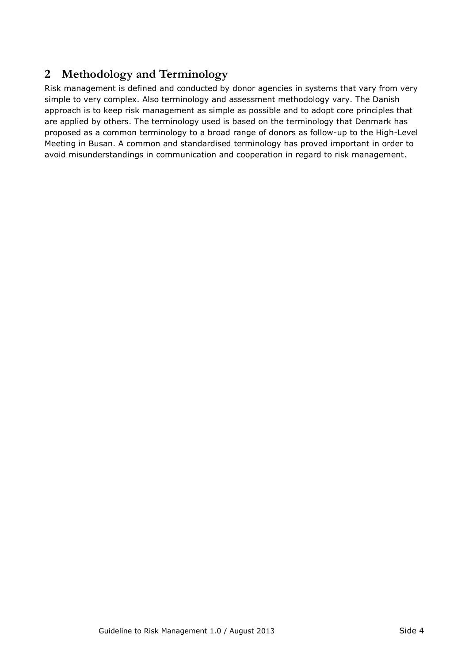# <span id="page-3-0"></span>**2 Methodology and Terminology**

Risk management is defined and conducted by donor agencies in systems that vary from very simple to very complex. Also terminology and assessment methodology vary. The Danish approach is to keep risk management as simple as possible and to adopt core principles that are applied by others. The terminology used is based on the terminology that Denmark has proposed as a common terminology to a broad range of donors as follow-up to the High-Level Meeting in Busan. A common and standardised terminology has proved important in order to avoid misunderstandings in communication and cooperation in regard to risk management.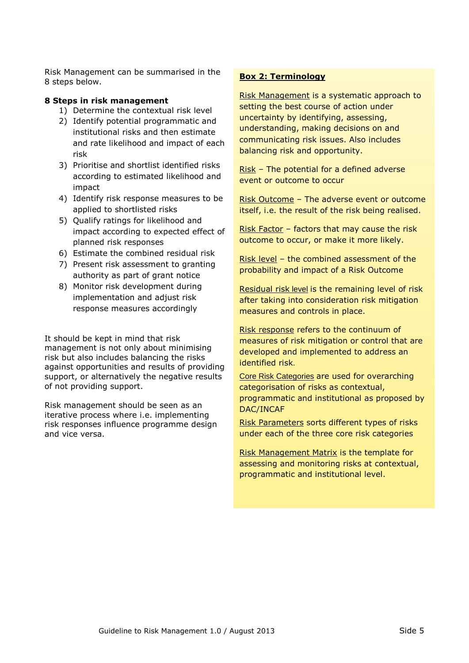Risk Management can be summarised in the 8 steps below.

#### **8 Steps in risk management**

- 1) Determine the contextual risk level
- 2) Identify potential programmatic and institutional risks and then estimate and rate likelihood and impact of each risk
- 3) Prioritise and shortlist identified risks according to estimated likelihood and impact
- 4) Identify risk response measures to be applied to shortlisted risks
- 5) Qualify ratings for likelihood and impact according to expected effect of planned risk responses
- 6) Estimate the combined residual risk
- 7) Present risk assessment to granting authority as part of grant notice
- 8) Monitor risk development during implementation and adjust risk response measures accordingly

It should be kept in mind that risk management is not only about minimising risk but also includes balancing the risks against opportunities and results of providing support, or alternatively the negative results of not providing support.

Risk management should be seen as an iterative process where i.e. implementing risk responses influence programme design and vice versa.

#### **Box 2: Terminology**

Risk Management is a systematic approach to setting the best course of action under uncertainty by identifying, assessing, understanding, making decisions on and communicating risk issues. Also includes balancing risk and opportunity.

Risk – The potential for a defined adverse event or outcome to occur

Risk Outcome – The adverse event or outcome itself, i.e. the result of the risk being realised.

Risk Factor – factors that may cause the risk outcome to occur, or make it more likely.

Risk level – the combined assessment of the probability and impact of a Risk Outcome

Residual risk level is the remaining level of risk after taking into consideration risk mitigation measures and controls in place.

Risk response refers to the continuum of measures of risk mitigation or control that are developed and implemented to address an identified risk.

Core Risk Categories are used for overarching categorisation of risks as contextual, programmatic and institutional as proposed by DAC/INCAF

Risk Parameters sorts different types of risks under each of the three core risk categories

Risk Management Matrix is the template for assessing and monitoring risks at contextual, programmatic and institutional level.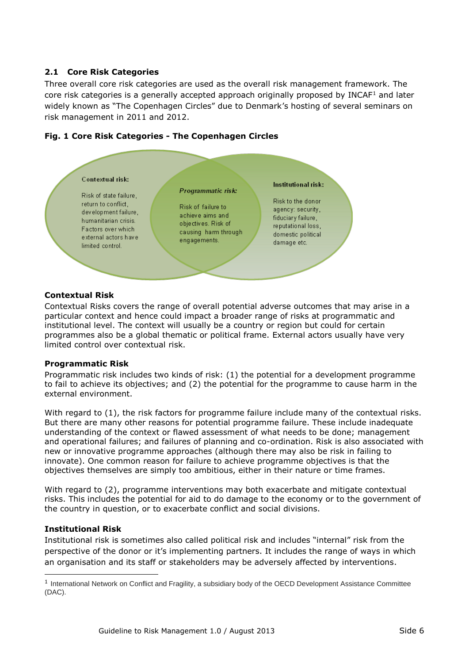#### <span id="page-5-0"></span>**2.1 Core Risk Categories**

Three overall core risk categories are used as the overall risk management framework. The core risk categories is a generally accepted approach originally proposed by INCAF<sup>1</sup> and later widely known as "The Copenhagen Circles" due to Denmark's hosting of several seminars on risk management in 2011 and 2012.



#### **Fig. 1 Core Risk Categories - The Copenhagen Circles**

#### **Contextual Risk**

Contextual Risks covers the range of overall potential adverse outcomes that may arise in a particular context and hence could impact a broader range of risks at programmatic and institutional level. The context will usually be a country or region but could for certain programmes also be a global thematic or political frame. External actors usually have very limited control over contextual risk.

#### **Programmatic Risk**

Programmatic risk includes two kinds of risk: (1) the potential for a development programme to fail to achieve its objectives; and (2) the potential for the programme to cause harm in the external environment.

With regard to (1), the risk factors for programme failure include many of the contextual risks. But there are many other reasons for potential programme failure. These include inadequate understanding of the context or flawed assessment of what needs to be done; management and operational failures; and failures of planning and co-ordination. Risk is also associated with new or innovative programme approaches (although there may also be risk in failing to innovate). One common reason for failure to achieve programme objectives is that the objectives themselves are simply too ambitious, either in their nature or time frames.

With regard to (2), programme interventions may both exacerbate and mitigate contextual risks. This includes the potential for aid to do damage to the economy or to the government of the country in question, or to exacerbate conflict and social divisions.

#### **Institutional Risk**

-

Institutional risk is sometimes also called political risk and includes "internal" risk from the perspective of the donor or it's implementing partners. It includes the range of ways in which an organisation and its staff or stakeholders may be adversely affected by interventions.

<sup>&</sup>lt;sup>1</sup> International Network on Conflict and Fragility, a subsidiary body of the OECD Development Assistance Committee (DAC).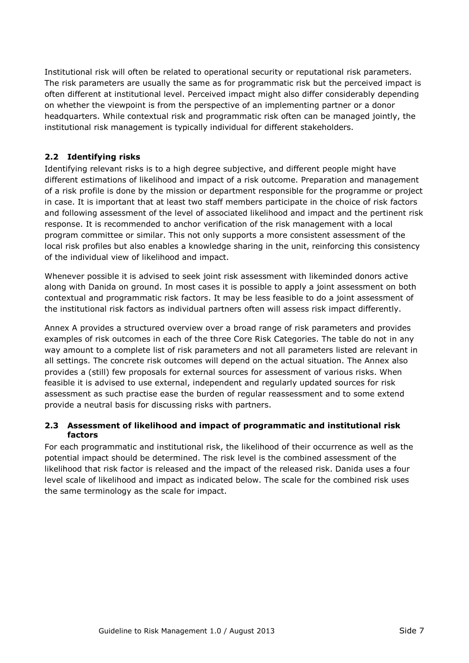Institutional risk will often be related to operational security or reputational risk parameters. The risk parameters are usually the same as for programmatic risk but the perceived impact is often different at institutional level. Perceived impact might also differ considerably depending on whether the viewpoint is from the perspective of an implementing partner or a donor headquarters. While contextual risk and programmatic risk often can be managed jointly, the institutional risk management is typically individual for different stakeholders.

### <span id="page-6-0"></span>**2.2 Identifying risks**

Identifying relevant risks is to a high degree subjective, and different people might have different estimations of likelihood and impact of a risk outcome. Preparation and management of a risk profile is done by the mission or department responsible for the programme or project in case. It is important that at least two staff members participate in the choice of risk factors and following assessment of the level of associated likelihood and impact and the pertinent risk response. It is recommended to anchor verification of the risk management with a local program committee or similar. This not only supports a more consistent assessment of the local risk profiles but also enables a knowledge sharing in the unit, reinforcing this consistency of the individual view of likelihood and impact.

Whenever possible it is advised to seek joint risk assessment with likeminded donors active along with Danida on ground. In most cases it is possible to apply a joint assessment on both contextual and programmatic risk factors. It may be less feasible to do a joint assessment of the institutional risk factors as individual partners often will assess risk impact differently.

Annex A provides a structured overview over a broad range of risk parameters and provides examples of risk outcomes in each of the three Core Risk Categories. The table do not in any way amount to a complete list of risk parameters and not all parameters listed are relevant in all settings. The concrete risk outcomes will depend on the actual situation. The Annex also provides a (still) few proposals for external sources for assessment of various risks. When feasible it is advised to use external, independent and regularly updated sources for risk assessment as such practise ease the burden of regular reassessment and to some extend provide a neutral basis for discussing risks with partners.

#### <span id="page-6-1"></span>**2.3 Assessment of likelihood and impact of programmatic and institutional risk factors**

For each programmatic and institutional risk, the likelihood of their occurrence as well as the potential impact should be determined. The risk level is the combined assessment of the likelihood that risk factor is released and the impact of the released risk. Danida uses a four level scale of likelihood and impact as indicated below. The scale for the combined risk uses the same terminology as the scale for impact.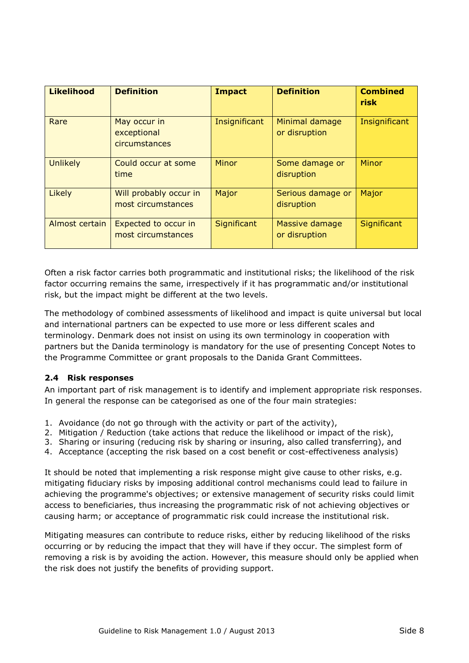| <b>Likelihood</b> | <b>Definition</b>                            | <b>Impact</b> | <b>Definition</b>               | <b>Combined</b><br>risk |
|-------------------|----------------------------------------------|---------------|---------------------------------|-------------------------|
| Rare              | May occur in<br>exceptional<br>circumstances | Insignificant | Minimal damage<br>or disruption | Insignificant           |
| <b>Unlikely</b>   | Could occur at some<br>time                  | Minor         | Some damage or<br>disruption    | Minor                   |
| Likely            | Will probably occur in<br>most circumstances | Major         | Serious damage or<br>disruption | Major                   |
| Almost certain    | Expected to occur in<br>most circumstances   | Significant   | Massive damage<br>or disruption | Significant             |

Often a risk factor carries both programmatic and institutional risks; the likelihood of the risk factor occurring remains the same, irrespectively if it has programmatic and/or institutional risk, but the impact might be different at the two levels.

The methodology of combined assessments of likelihood and impact is quite universal but local and international partners can be expected to use more or less different scales and terminology. Denmark does not insist on using its own terminology in cooperation with partners but the Danida terminology is mandatory for the use of presenting Concept Notes to the Programme Committee or grant proposals to the Danida Grant Committees.

#### <span id="page-7-0"></span>**2.4 Risk responses**

An important part of risk management is to identify and implement appropriate risk responses. In general the response can be categorised as one of the four main strategies:

- 1. Avoidance (do not go through with the activity or part of the activity),
- 2. Mitigation / Reduction (take actions that reduce the likelihood or impact of the risk),
- 3. Sharing or insuring (reducing risk by sharing or insuring, also called transferring), and
- 4. Acceptance (accepting the risk based on a cost benefit or cost-effectiveness analysis)

It should be noted that implementing a risk response might give cause to other risks, e.g. mitigating fiduciary risks by imposing additional control mechanisms could lead to failure in achieving the programme's objectives; or extensive management of security risks could limit access to beneficiaries, thus increasing the programmatic risk of not achieving objectives or causing harm; or acceptance of programmatic risk could increase the institutional risk.

Mitigating measures can contribute to reduce risks, either by reducing likelihood of the risks occurring or by reducing the impact that they will have if they occur. The simplest form of removing a risk is by avoiding the action. However, this measure should only be applied when the risk does not justify the benefits of providing support.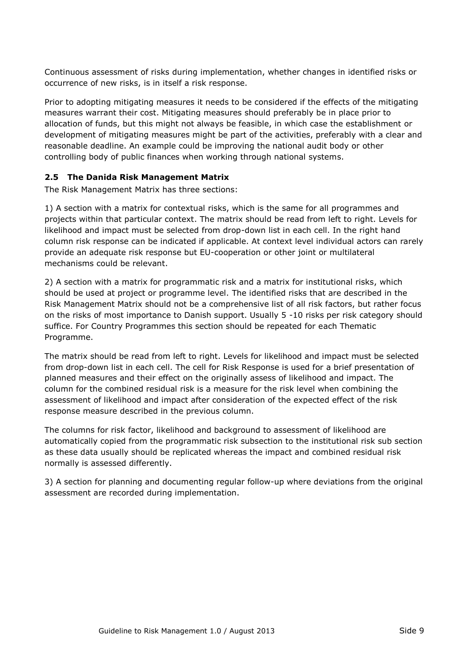Continuous assessment of risks during implementation, whether changes in identified risks or occurrence of new risks, is in itself a risk response.

Prior to adopting mitigating measures it needs to be considered if the effects of the mitigating measures warrant their cost. Mitigating measures should preferably be in place prior to allocation of funds, but this might not always be feasible, in which case the establishment or development of mitigating measures might be part of the activities, preferably with a clear and reasonable deadline. An example could be improving the national audit body or other controlling body of public finances when working through national systems.

#### <span id="page-8-0"></span>**2.5 The Danida Risk Management Matrix**

The Risk Management Matrix has three sections:

1) A section with a matrix for contextual risks, which is the same for all programmes and projects within that particular context. The matrix should be read from left to right. Levels for likelihood and impact must be selected from drop-down list in each cell. In the right hand column risk response can be indicated if applicable. At context level individual actors can rarely provide an adequate risk response but EU-cooperation or other joint or multilateral mechanisms could be relevant.

2) A section with a matrix for programmatic risk and a matrix for institutional risks, which should be used at project or programme level. The identified risks that are described in the Risk Management Matrix should not be a comprehensive list of all risk factors, but rather focus on the risks of most importance to Danish support. Usually 5 -10 risks per risk category should suffice. For Country Programmes this section should be repeated for each Thematic Programme.

The matrix should be read from left to right. Levels for likelihood and impact must be selected from drop-down list in each cell. The cell for Risk Response is used for a brief presentation of planned measures and their effect on the originally assess of likelihood and impact. The column for the combined residual risk is a measure for the risk level when combining the assessment of likelihood and impact after consideration of the expected effect of the risk response measure described in the previous column.

The columns for risk factor, likelihood and background to assessment of likelihood are automatically copied from the programmatic risk subsection to the institutional risk sub section as these data usually should be replicated whereas the impact and combined residual risk normally is assessed differently.

3) A section for planning and documenting regular follow-up where deviations from the original assessment are recorded during implementation.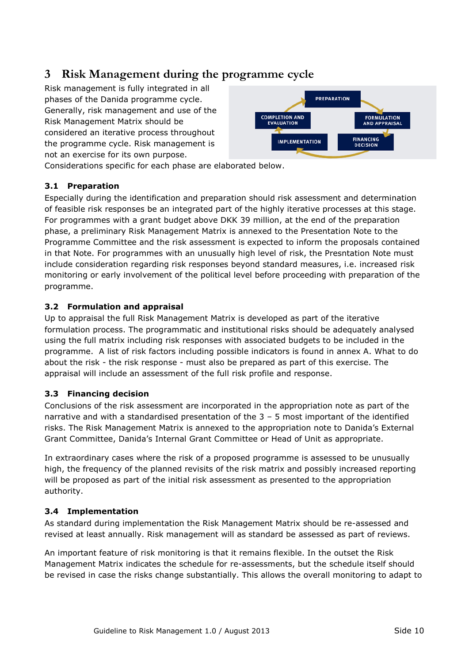# <span id="page-9-0"></span>**3 Risk Management during the programme cycle**

Risk management is fully integrated in all phases of the Danida programme cycle. Generally, risk management and use of the Risk Management Matrix should be considered an iterative process throughout the programme cycle. Risk management is not an exercise for its own purpose.



Considerations specific for each phase are elaborated below.

#### <span id="page-9-1"></span>**3.1 Preparation**

Especially during the identification and preparation should risk assessment and determination of feasible risk responses be an integrated part of the highly iterative processes at this stage. For programmes with a grant budget above DKK 39 million, at the end of the preparation phase, a preliminary Risk Management Matrix is annexed to the Presentation Note to the Programme Committee and the risk assessment is expected to inform the proposals contained in that Note. For programmes with an unusually high level of risk, the Presntation Note must include consideration regarding risk responses beyond standard measures, i.e. increased risk monitoring or early involvement of the political level before proceeding with preparation of the programme.

#### <span id="page-9-2"></span>**3.2 Formulation and appraisal**

Up to appraisal the full Risk Management Matrix is developed as part of the iterative formulation process. The programmatic and institutional risks should be adequately analysed using the full matrix including risk responses with associated budgets to be included in the programme. A list of risk factors including possible indicators is found in annex A. What to do about the risk - the risk response - must also be prepared as part of this exercise. The appraisal will include an assessment of the full risk profile and response.

### <span id="page-9-3"></span>**3.3 Financing decision**

Conclusions of the risk assessment are incorporated in the appropriation note as part of the narrative and with a standardised presentation of the 3 – 5 most important of the identified risks. The Risk Management Matrix is annexed to the appropriation note to Danida's External Grant Committee, Danida's Internal Grant Committee or Head of Unit as appropriate.

In extraordinary cases where the risk of a proposed programme is assessed to be unusually high, the frequency of the planned revisits of the risk matrix and possibly increased reporting will be proposed as part of the initial risk assessment as presented to the appropriation authority.

### <span id="page-9-4"></span>**3.4 Implementation**

As standard during implementation the Risk Management Matrix should be re-assessed and revised at least annually. Risk management will as standard be assessed as part of reviews.

An important feature of risk monitoring is that it remains flexible. In the outset the Risk Management Matrix indicates the schedule for re-assessments, but the schedule itself should be revised in case the risks change substantially. This allows the overall monitoring to adapt to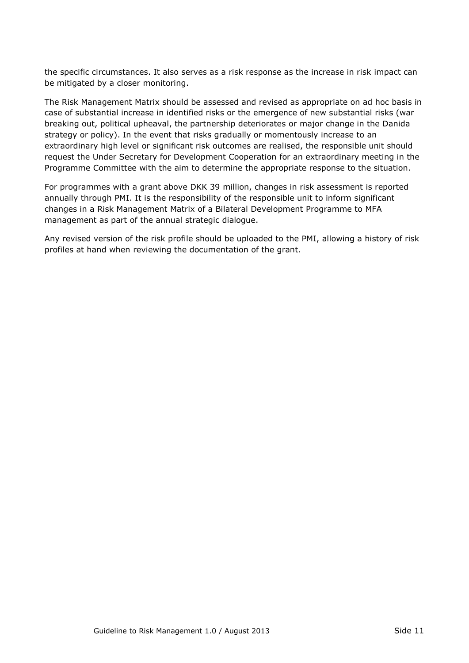the specific circumstances. It also serves as a risk response as the increase in risk impact can be mitigated by a closer monitoring.

The Risk Management Matrix should be assessed and revised as appropriate on ad hoc basis in case of substantial increase in identified risks or the emergence of new substantial risks (war breaking out, political upheaval, the partnership deteriorates or major change in the Danida strategy or policy). In the event that risks gradually or momentously increase to an extraordinary high level or significant risk outcomes are realised, the responsible unit should request the Under Secretary for Development Cooperation for an extraordinary meeting in the Programme Committee with the aim to determine the appropriate response to the situation.

For programmes with a grant above DKK 39 million, changes in risk assessment is reported annually through PMI. It is the responsibility of the responsible unit to inform significant changes in a Risk Management Matrix of a Bilateral Development Programme to MFA management as part of the annual strategic dialogue.

Any revised version of the risk profile should be uploaded to the PMI, allowing a history of risk profiles at hand when reviewing the documentation of the grant.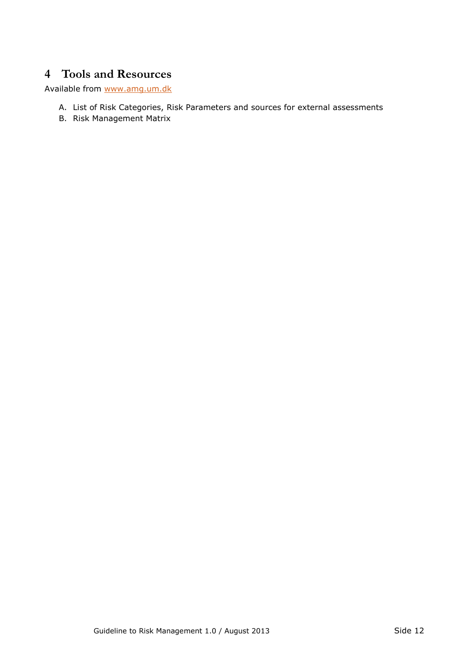# <span id="page-11-0"></span>**4 Tools and Resources**

Available from [www.amg.um.dk](http://www.amg.um.dk/)

- A. List of Risk Categories, Risk Parameters and sources for external assessments
- B. Risk Management Matrix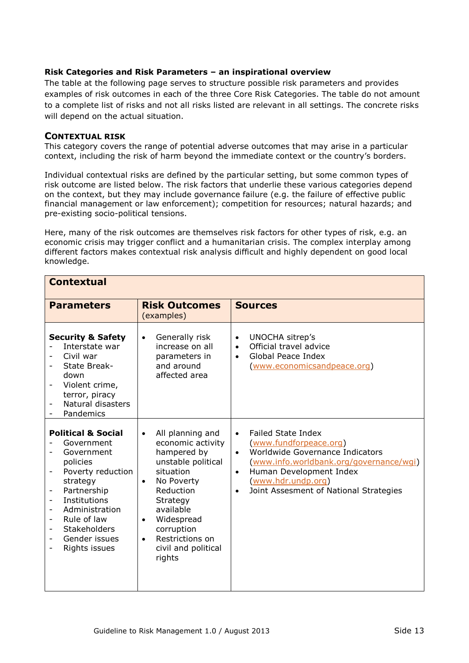#### **Risk Categories and Risk Parameters – an inspirational overview**

The table at the following page serves to structure possible risk parameters and provides examples of risk outcomes in each of the three Core Risk Categories. The table do not amount to a complete list of risks and not all risks listed are relevant in all settings. The concrete risks will depend on the actual situation.

#### **CONTEXTUAL RISK**

This category covers the range of potential adverse outcomes that may arise in a particular context, including the risk of harm beyond the immediate context or the country's borders.

Individual contextual risks are defined by the particular setting, but some common types of risk outcome are listed below. The risk factors that underlie these various categories depend on the context, but they may include governance failure (e.g. the failure of effective public financial management or law enforcement); competition for resources; natural hazards; and pre-existing socio-political tensions.

Here, many of the risk outcomes are themselves risk factors for other types of risk, e.g. an economic crisis may trigger conflict and a humanitarian crisis. The complex interplay among different factors makes contextual risk analysis difficult and highly dependent on good local knowledge.

| <b>Contextual</b>                                                                                                                                                                                                                                                                                      |                                                                                                                                                                                                                                                                                 |                                                                                                                                                                                                                                                                                  |  |
|--------------------------------------------------------------------------------------------------------------------------------------------------------------------------------------------------------------------------------------------------------------------------------------------------------|---------------------------------------------------------------------------------------------------------------------------------------------------------------------------------------------------------------------------------------------------------------------------------|----------------------------------------------------------------------------------------------------------------------------------------------------------------------------------------------------------------------------------------------------------------------------------|--|
| <b>Parameters</b>                                                                                                                                                                                                                                                                                      | <b>Risk Outcomes</b><br>(examples)                                                                                                                                                                                                                                              | <b>Sources</b>                                                                                                                                                                                                                                                                   |  |
| <b>Security &amp; Safety</b><br>Interstate war<br>Civil war<br>State Break-<br>down<br>Violent crime,<br>terror, piracy<br>Natural disasters<br>-<br>Pandemics                                                                                                                                         | Generally risk<br>$\bullet$<br>increase on all<br>parameters in<br>and around<br>affected area                                                                                                                                                                                  | UNOCHA sitrep's<br>$\bullet$<br>Official travel advice<br>$\bullet$<br>Global Peace Index<br>$\bullet$<br>(www.economicsandpeace.org)                                                                                                                                            |  |
| <b>Political &amp; Social</b><br>Government<br>Government<br>policies<br>Poverty reduction<br>-<br>strategy<br>Partnership<br>-<br>Institutions<br>Administration<br>$\overline{\phantom{a}}$<br>Rule of law<br>$\overline{\phantom{0}}$<br><b>Stakeholders</b><br>-<br>Gender issues<br>Rights issues | All planning and<br>$\bullet$<br>economic activity<br>hampered by<br>unstable political<br>situation<br>No Poverty<br>$\bullet$<br>Reduction<br>Strategy<br>available<br>Widespread<br>$\bullet$<br>corruption<br>Restrictions on<br>$\bullet$<br>civil and political<br>rights | <b>Failed State Index</b><br>$\bullet$<br>(www.fundforpeace.org)<br>Worldwide Governance Indicators<br>$\bullet$<br>(www.info.worldbank.org/governance/wgi)<br>Human Development Index<br>$\bullet$<br>(www.hdr.undp.org)<br>Joint Assesment of National Strategies<br>$\bullet$ |  |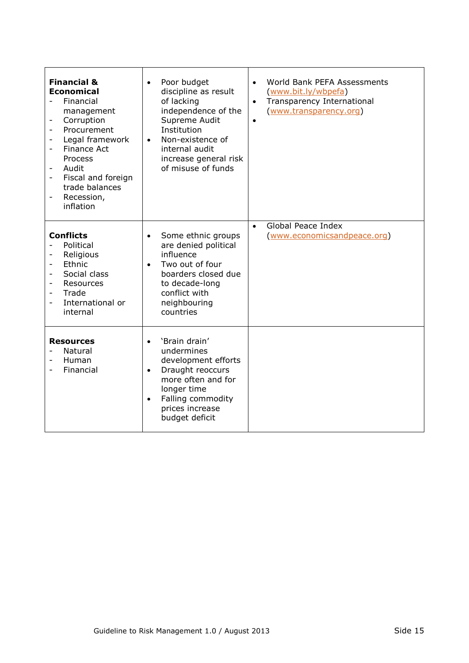| <b>Financial &amp;</b><br><b>Economical</b><br>Financial<br>management<br>Corruption<br>Procurement<br>Legal framework<br><b>Finance Act</b><br>$\overline{\phantom{a}}$<br>Process<br>Audit<br>Fiscal and foreign<br>$\overline{\phantom{0}}$<br>trade balances<br>Recession,<br>$\qquad \qquad -$<br>inflation | Poor budget<br>$\bullet$<br>discipline as result<br>of lacking<br>independence of the<br>Supreme Audit<br>Institution<br>Non-existence of<br>$\bullet$<br>internal audit<br>increase general risk<br>of misuse of funds | World Bank PEFA Assessments<br>$\bullet$<br>(www.bit.ly/wbpefa)<br>Transparency International<br>(www.transparency.org)<br>$\bullet$ |
|------------------------------------------------------------------------------------------------------------------------------------------------------------------------------------------------------------------------------------------------------------------------------------------------------------------|-------------------------------------------------------------------------------------------------------------------------------------------------------------------------------------------------------------------------|--------------------------------------------------------------------------------------------------------------------------------------|
| <b>Conflicts</b><br>Political<br>Religious<br>Ethnic<br>$\overline{\phantom{a}}$<br>Social class<br>Resources<br>$\overline{\phantom{0}}$<br>Trade<br>$\overline{\phantom{a}}$<br>International or<br>internal                                                                                                   | Some ethnic groups<br>$\bullet$<br>are denied political<br>influence<br>Two out of four<br>$\bullet$<br>boarders closed due<br>to decade-long<br>conflict with<br>neighbouring<br>countries                             | Global Peace Index<br>$\bullet$<br>(www.economicsandpeace.org)                                                                       |
| <b>Resources</b><br>Natural<br>Human<br>Financial                                                                                                                                                                                                                                                                | 'Brain drain'<br>$\bullet$<br>undermines<br>development efforts<br>Draught reoccurs<br>$\bullet$<br>more often and for<br>longer time<br>Falling commodity<br>$\bullet$<br>prices increase<br>budget deficit            |                                                                                                                                      |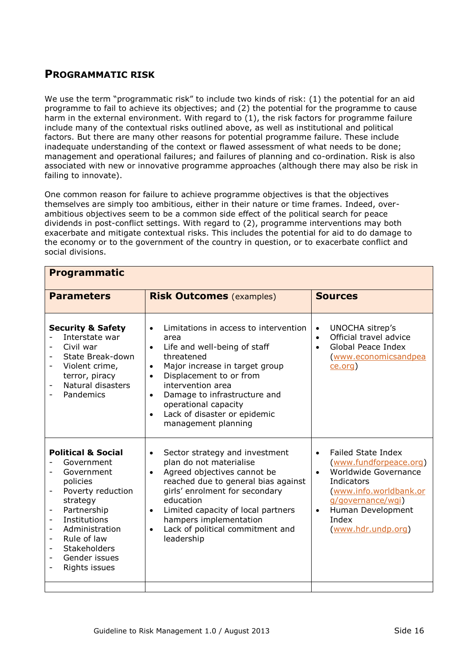# **PROGRAMMATIC RISK**

We use the term "programmatic risk" to include two kinds of risk: (1) the potential for an aid programme to fail to achieve its objectives; and (2) the potential for the programme to cause harm in the external environment. With regard to (1), the risk factors for programme failure include many of the contextual risks outlined above, as well as institutional and political factors. But there are many other reasons for potential programme failure. These include inadequate understanding of the context or flawed assessment of what needs to be done; management and operational failures; and failures of planning and co-ordination. Risk is also associated with new or innovative programme approaches (although there may also be risk in failing to innovate).

One common reason for failure to achieve programme objectives is that the objectives themselves are simply too ambitious, either in their nature or time frames. Indeed, overambitious objectives seem to be a common side effect of the political search for peace dividends in post-conflict settings. With regard to (2), programme interventions may both exacerbate and mitigate contextual risks. This includes the potential for aid to do damage to the economy or to the government of the country in question, or to exacerbate conflict and social divisions.

| <b>Programmatic</b>                                                                                                                                                                                                                                                                                                 |                                                                                                                                                                                                                                                                                                                                                                            |                                                                                                                                                                                                                                     |  |
|---------------------------------------------------------------------------------------------------------------------------------------------------------------------------------------------------------------------------------------------------------------------------------------------------------------------|----------------------------------------------------------------------------------------------------------------------------------------------------------------------------------------------------------------------------------------------------------------------------------------------------------------------------------------------------------------------------|-------------------------------------------------------------------------------------------------------------------------------------------------------------------------------------------------------------------------------------|--|
| <b>Parameters</b>                                                                                                                                                                                                                                                                                                   | <b>Risk Outcomes (examples)</b>                                                                                                                                                                                                                                                                                                                                            | <b>Sources</b>                                                                                                                                                                                                                      |  |
| <b>Security &amp; Safety</b><br>Interstate war<br>Civil war<br>State Break-down<br>Violent crime,<br>terror, piracy<br>Natural disasters<br>$\overline{\phantom{a}}$<br>Pandemics                                                                                                                                   | Limitations in access to intervention<br>$\bullet$<br>area<br>Life and well-being of staff<br>$\bullet$<br>threatened<br>Major increase in target group<br>$\bullet$<br>Displacement to or from<br>$\bullet$<br>intervention area<br>Damage to infrastructure and<br>$\bullet$<br>operational capacity<br>Lack of disaster or epidemic<br>$\bullet$<br>management planning | UNOCHA sitrep's<br>$\bullet$<br>Official travel advice<br>$\bullet$<br>Global Peace Index<br>$\bullet$<br>(www.economicsandpea<br>ce.org)                                                                                           |  |
| <b>Political &amp; Social</b><br>Government<br>Government<br>policies<br>Poverty reduction<br>strategy<br>Partnership<br>$\overline{\phantom{0}}$<br>Institutions<br>$\overline{\phantom{a}}$<br>Administration<br>Rule of law<br><b>Stakeholders</b><br>Gender issues<br>$\overline{\phantom{a}}$<br>Rights issues | Sector strategy and investment<br>$\bullet$<br>plan do not materialise<br>Agreed objectives cannot be<br>$\bullet$<br>reached due to general bias against<br>girls' enrolment for secondary<br>education<br>Limited capacity of local partners<br>$\bullet$<br>hampers implementation<br>Lack of political commitment and<br>$\bullet$<br>leadership                       | <b>Failed State Index</b><br>$\bullet$<br>(www.fundforpeace.org)<br>Worldwide Governance<br>$\bullet$<br>Indicators<br>(www.info.worldbank.or<br>g/governance/wgi)<br>Human Development<br>$\bullet$<br>Index<br>(www.hdr.undp.org) |  |
|                                                                                                                                                                                                                                                                                                                     |                                                                                                                                                                                                                                                                                                                                                                            |                                                                                                                                                                                                                                     |  |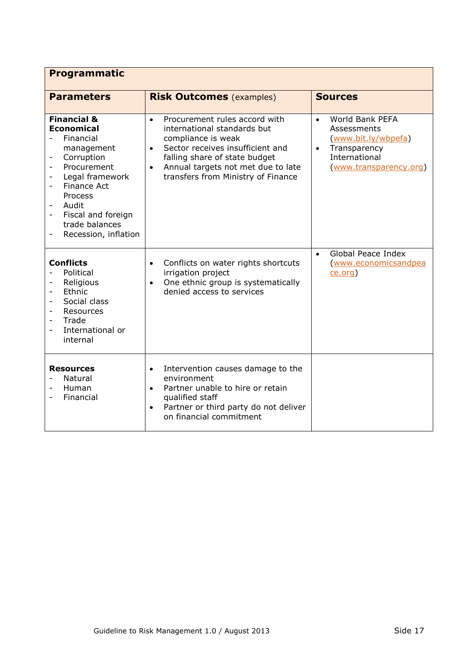| <b>Programmatic</b>                                                                                                                                                                                                                                                     |                                                                                                                                                                                                                                                                            |                                                                                                                                            |  |
|-------------------------------------------------------------------------------------------------------------------------------------------------------------------------------------------------------------------------------------------------------------------------|----------------------------------------------------------------------------------------------------------------------------------------------------------------------------------------------------------------------------------------------------------------------------|--------------------------------------------------------------------------------------------------------------------------------------------|--|
| <b>Parameters</b>                                                                                                                                                                                                                                                       | <b>Risk Outcomes (examples)</b>                                                                                                                                                                                                                                            | <b>Sources</b>                                                                                                                             |  |
| <b>Financial &amp;</b><br><b>Economical</b><br>Financial<br>management<br>Corruption<br>Procurement<br>Legal framework<br>$\overline{a}$<br>Finance Act<br>Process<br>Audit<br>Fiscal and foreign<br>$\overline{\phantom{0}}$<br>trade balances<br>Recession, inflation | Procurement rules accord with<br>$\bullet$<br>international standards but<br>compliance is weak<br>Sector receives insufficient and<br>$\bullet$<br>falling share of state budget<br>Annual targets not met due to late<br>$\bullet$<br>transfers from Ministry of Finance | World Bank PEFA<br>$\bullet$<br>Assessments<br>(www.bit.ly/wbpefa)<br>Transparency<br>$\bullet$<br>International<br>(www.transparency.org) |  |
| <b>Conflicts</b><br>Political<br>Religious<br>Ethnic<br>$\overline{\phantom{a}}$<br>Social class<br>$\overline{\phantom{a}}$<br>Resources<br>$\overline{\phantom{0}}$<br>Trade<br>International or<br>$\overline{a}$<br>internal                                        | Conflicts on water rights shortcuts<br>$\bullet$<br>irrigation project<br>One ethnic group is systematically<br>$\bullet$<br>denied access to services                                                                                                                     | Global Peace Index<br>$\bullet$<br>www.economicsandpea<br>ce.org)                                                                          |  |
| <b>Resources</b><br>Natural<br>Human<br>Financial                                                                                                                                                                                                                       | Intervention causes damage to the<br>$\bullet$<br>environment<br>Partner unable to hire or retain<br>$\bullet$<br>qualified staff<br>Partner or third party do not deliver<br>$\bullet$<br>on financial commitment                                                         |                                                                                                                                            |  |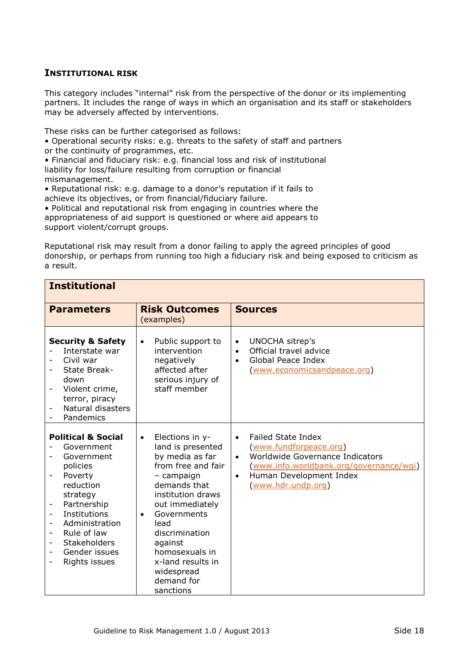#### **INSTITUTIONAL RISK**

This category includes "internal" risk from the perspective of the donor or its implementing partners. It includes the range of ways in which an organisation and its staff or stakeholders may be adversely affected by interventions.

These risks can be further categorised as follows:

• Operational security risks: e.g. threats to the safety of staff and partners or the continuity of programmes, etc.

• Financial and fiduciary risk: e.g. financial loss and risk of institutional liability for loss/failure resulting from corruption or financial mismanagement.

• Reputational risk: e.g. damage to a donor's reputation if it fails to achieve its objectives, or from financial/fiduciary failure.

• Political and reputational risk from engaging in countries where the appropriateness of aid support is questioned or where aid appears to support violent/corrupt groups.

Reputational risk may result from a donor failing to apply the agreed principles of good donorship, or perhaps from running too high a fiduciary risk and being exposed to criticism as a result.

| <b>Institutional</b>                                                                                                                                                                                                                                                                       |                                                                                                                                                                                                                                                                                                                   |                                                                                                                                                                                                                           |  |
|--------------------------------------------------------------------------------------------------------------------------------------------------------------------------------------------------------------------------------------------------------------------------------------------|-------------------------------------------------------------------------------------------------------------------------------------------------------------------------------------------------------------------------------------------------------------------------------------------------------------------|---------------------------------------------------------------------------------------------------------------------------------------------------------------------------------------------------------------------------|--|
| <b>Parameters</b>                                                                                                                                                                                                                                                                          | <b>Risk Outcomes</b><br>(examples)                                                                                                                                                                                                                                                                                | <b>Sources</b>                                                                                                                                                                                                            |  |
| <b>Security &amp; Safety</b><br>Interstate war<br>Civil war<br>State Break-<br>down<br>Violent crime,<br>terror, piracy<br>Natural disasters<br>Pandemics                                                                                                                                  | Public support to<br>$\bullet$<br>intervention<br>negatively<br>affected after<br>serious injury of<br>staff member                                                                                                                                                                                               | UNOCHA sitrep's<br>$\bullet$<br>Official travel advice<br>$\bullet$<br>Global Peace Index<br>$\bullet$<br>(www.economicsandpeace.org)                                                                                     |  |
| <b>Political &amp; Social</b><br>Government<br>Government<br>policies<br>Poverty<br>$\overline{\phantom{0}}$<br>reduction<br>strategy<br>Partnership<br>Institutions<br>Administration<br>Rule of law<br><b>Stakeholders</b><br>$\overline{\phantom{a}}$<br>Gender issues<br>Rights issues | Elections in y-<br>$\bullet$<br>land is presented<br>by media as far<br>from free and fair<br>- campaign<br>demands that<br>institution draws<br>out immediately<br>Governments<br>$\bullet$<br>lead<br>discrimination<br>against<br>homosexuals in<br>x-land results in<br>widespread<br>demand for<br>sanctions | <b>Failed State Index</b><br>$\bullet$<br>(www.fundforpeace.org)<br>Worldwide Governance Indicators<br>$\bullet$<br>(www.info.worldbank.org/governance/wqi)<br>Human Development Index<br>$\bullet$<br>(www.hdr.undp.org) |  |